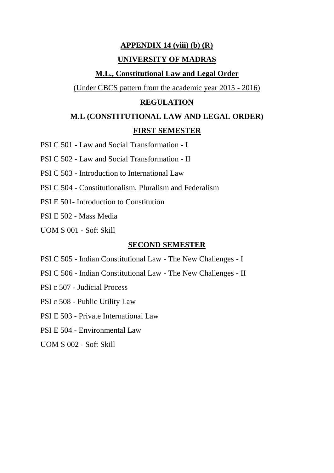#### **APPENDIX 14 (viii) (b) (R)**

#### **UNIVERSITY OF MADRAS**

#### **M.L., Constitutional Law and Legal Order**

(Under CBCS pattern from the academic year 2015 - 2016)

#### **REGULATION**

# **M.L (CONSTITUTIONAL LAW AND LEGAL ORDER) FIRST SEMESTER**

PSI C 501 - Law and Social Transformation - I

PSI C 502 - Law and Social Transformation - II

PSI C 503 - Introduction to International Law

PSI C 504 - Constitutionalism, Pluralism and Federalism

PSI E 501- Introduction to Constitution

PSI E 502 - Mass Media

UOM S 001 - Soft Skill

#### **SECOND SEMESTER**

- PSI C 505 Indian Constitutional Law The New Challenges I
- PSI C 506 Indian Constitutional Law The New Challenges II
- PSI c 507 Judicial Process
- PSI c 508 Public Utility Law
- PSI E 503 Private International Law
- PSI E 504 Environmental Law

UOM S 002 - Soft Skill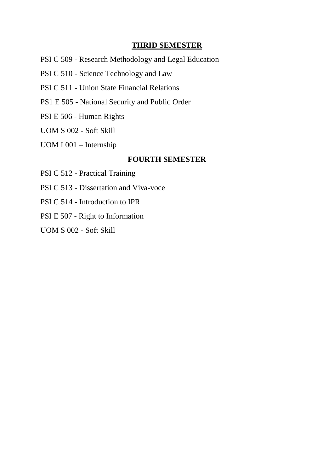#### **THRID SEMESTER**

- PSI C 509 Research Methodology and Legal Education
- PSI C 510 Science Technology and Law
- PSI C 511 Union State Financial Relations
- PS1 E 505 National Security and Public Order
- PSI E 506 Human Rights
- UOM S 002 Soft Skill
- UOM I 001 Internship

#### **FOURTH SEMESTER**

- PSI C 512 Practical Training
- PSI C 513 Dissertation and Viva-voce
- PSI C 514 Introduction to IPR
- PSI E 507 Right to Information
- UOM S 002 Soft Skill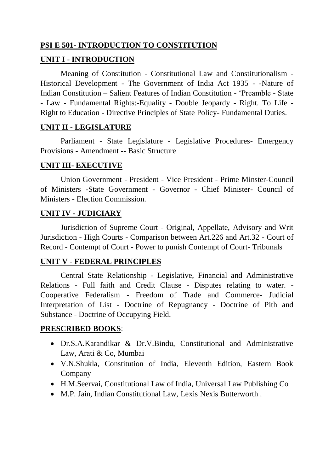### **PSI E 501- INTRODUCTION TO CONSTITUTION**

### **UNIT I - INTRODUCTION**

Meaning of Constitution - Constitutional Law and Constitutionalism - Historical Development - The Government of India Act 1935 - -Nature of Indian Constitution – Salient Features of Indian Constitution - 'Preamble - State - Law - Fundamental Rights:-Equality - Double Jeopardy - Right. To Life - Right to Education - Directive Principles of State Policy- Fundamental Duties.

### **UNIT II - LEGISLATURE**

Parliament - State Legislature - Legislative Procedures- Emergency Provisions - Amendment -- Basic Structure

#### **UNIT III- EXECUTIVE**

Union Government - President - Vice President - Prime Minster-Council of Ministers -State Government - Governor - Chief Minister- Council of Ministers - Election Commission.

### **UNIT IV - JUDICIARY**

Jurisdiction of Supreme Court - Original, Appellate, Advisory and Writ Jurisdiction - High Courts - Comparison between Art.226 and Art.32 - Court of Record - Contempt of Court - Power to punish Contempt of Court- Tribunals

#### **UNIT V - FEDERAL PRINCIPLES**

Central State Relationship - Legislative, Financial and Administrative Relations - Full faith and Credit Clause - Disputes relating to water. - Cooperative Federalism - Freedom of Trade and Commerce- Judicial Interpretation of List - Doctrine of Repugnancy - Doctrine of Pith and Substance - Doctrine of Occupying Field.

- Dr.S.A.Karandikar & Dr.V.Bindu, Constitutional and Administrative Law, Arati & Co, Mumbai
- V.N.Shukla, Constitution of India, Eleventh Edition, Eastern Book Company
- H.M.Seervai, Constitutional Law of India, Universal Law Publishing Co
- M.P. Jain, Indian Constitutional Law, Lexis Nexis Butterworth .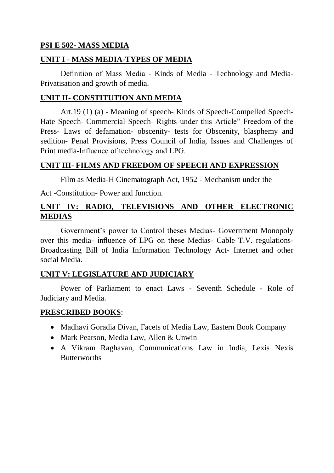#### **PSI E 502- MASS MEDIA**

#### **UNIT I - MASS MEDIA-TYPES OF MEDIA**

Definition of Mass Media - Kinds of Media - Technology and Media-Privatisation and growth of media.

#### **UNIT II- CONSTITUTION AND MEDIA**

Art.19 (1) (a) - Meaning of speech- Kinds of Speech-Compelled Speech-Hate Speech- Commercial Speech- Rights under this Article" Freedom of the Press- Laws of defamation- obscenity- tests for Obscenity, blasphemy and sedition- Penal Provisions, Press Council of India, Issues and Challenges of Print media-Influence of technology and LPG.

#### **UNIT III- FILMS AND FREEDOM OF SPEECH AND EXPRESSION**

Film as Media-H Cinematograph Act, 1952 - Mechanism under the

Act -Constitution- Power and function.

## **UNIT IV: RADIO, TELEVISIONS AND OTHER ELECTRONIC MEDIAS**

Government's power to Control theses Medias- Government Monopoly over this media- influence of LPG on these Medias- Cable T.V. regulations-Broadcasting Bill of India Information Technology Act- Internet and other social Media.

#### **UNIT V: LEGISLATURE AND JUDICIARY**

Power of Parliament to enact Laws - Seventh Schedule - Role of Judiciary and Media.

- Madhavi Goradia Divan, Facets of Media Law, Eastern Book Company
- Mark Pearson, Media Law, Allen & Unwin
- A Vikram Raghavan, Communications Law in India, Lexis Nexis **Butterworths**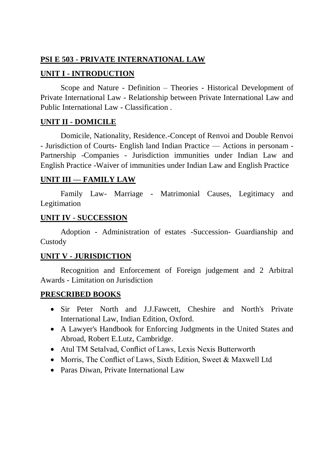#### **PSI E 503 - PRIVATE INTERNATIONAL LAW**

### **UNIT I - INTRODUCTION**

Scope and Nature - Definition – Theories - Historical Development of Private International Law - Relationship between Private International Law and Public International Law - Classification .

### **UNIT II - DOMICILE**

Domicile, Nationality, Residence.-Concept of Renvoi and Double Renvoi - Jurisdiction of Courts- English land Indian Practice — Actions in personam - Partnership -Companies - Jurisdiction immunities under Indian Law and English Practice -Waiver of immunities under Indian Law and English Practice

### **UNIT III — FAMILY LAW**

Family Law- Marriage - Matrimonial Causes, Legitimacy and Legitimation

#### **UNIT IV - SUCCESSION**

Adoption - Administration of estates -Succession- Guardianship and Custody

#### **UNIT V - JURISDICTION**

Recognition and Enforcement of Foreign judgement and 2 Arbitral Awards - Limitation on Jurisdiction

- Sir Peter North and J.J.Fawcett, Cheshire and North's Private International Law, Indian Edition, Oxford.
- A Lawyer's Handbook for Enforcing Judgments in the United States and Abroad, Robert E.Lutz, Cambridge.
- Atul TM Setalvad, Conflict of Laws, Lexis Nexis Butterworth
- Morris, The Conflict of Laws, Sixth Edition, Sweet & Maxwell Ltd
- Paras Diwan, Private International Law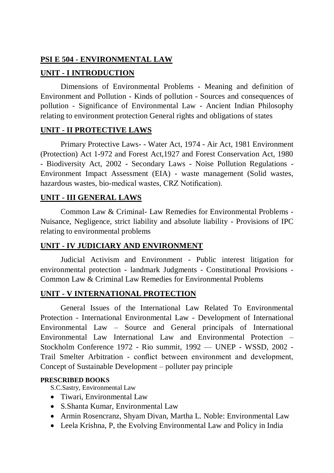## **PSI E 504 - ENVIRONMENTAL LAW**

# **UNIT - I INTRODUCTION**

Dimensions of Environmental Problems - Meaning and definition of Environment and Pollution - Kinds of pollution - Sources and consequences of pollution - Significance of Environmental Law - Ancient Indian Philosophy relating to environment protection General rights and obligations of states

### **UNIT - II PROTECTIVE LAWS**

Primary Protective Laws- - Water Act, 1974 - Air Act, 1981 Environment (Protection) Act 1-972 and Forest Act,1927 and Forest Conservation Act, 1980 - Biodiversity Act, 2002 - Secondary Laws - Noise Pollution Regulations - Environment Impact Assessment (EIA) - waste management (Solid wastes, hazardous wastes, bio-medical wastes, CRZ Notification).

## **UNIT - III GENERAL LAWS**

Common Law & Criminal- Law Remedies for Environmental Problems - Nuisance, Negligence, strict liability and absolute liability - Provisions of IPC relating to environmental problems

## **UNIT - IV JUDICIARY AND ENVIRONMENT**

Judicial Activism and Environment - Public interest litigation for environmental protection - landmark Judgments - Constitutional Provisions - Common Law & Criminal Law Remedies for Environmental Problems

## **UNIT - V INTERNATIONAL PROTECTION**

General Issues of the International Law Related To Environmental Protection - International Environmental Law - Development of International Environmental Law – Source and General principals of International Environmental Law International Law and Environmental Protection – Stockholm Conference 1972 - Rio summit, 1992 — UNEP - WSSD, 2002 - Trail Smelter Arbitration - conflict between environment and development, Concept of Sustainable Development – polluter pay principle

#### **PRESCRIBED BOOKS**

S.C.Sastry, Environmental Law

- Tiwari, Environmental Law
- S.Shanta Kumar, Environmental Law
- Armin Rosencranz, Shyam Divan, Martha L. Noble: Environmental Law
- Leela Krishna, P, the Evolving Environmental Law and Policy in India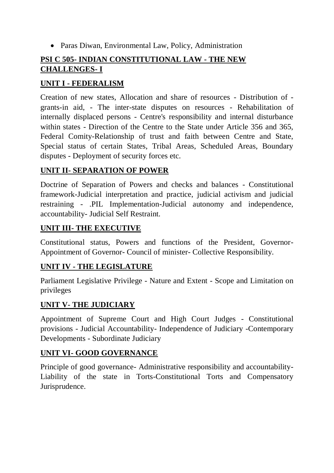• Paras Diwan, Environmental Law, Policy, Administration

# **PSI C 505- INDIAN CONSTITUTIONAL LAW - THE NEW CHALLENGES- I**

## **UNIT I - FEDERALISM**

Creation of new states, Allocation and share of resources - Distribution of grants-in aid, - The inter-state disputes on resources - Rehabilitation of internally displaced persons - Centre's responsibility and internal disturbance within states - Direction of the Centre to the State under Article 356 and 365, Federal Comity-Relationship of trust and faith between Centre and State, Special status of certain States, Tribal Areas, Scheduled Areas, Boundary disputes - Deployment of security forces etc.

### **UNIT II- SEPARATION OF POWER**

Doctrine of Separation of Powers and checks and balances - Constitutional framework-Judicial interpretation and practice, judicial activism and judicial restraining - .PIL Implementation-Judicial autonomy and independence, accountability- Judicial Self Restraint.

### **UNIT III- THE EXECUTIVE**

Constitutional status, Powers and functions of the President, Governor-Appointment of Governor- Council of minister- Collective Responsibility.

## **UNIT IV - THE LEGISLATURE**

Parliament Legislative Privilege - Nature and Extent - Scope and Limitation on privileges

## **UNIT V- THE JUDICIARY**

Appointment of Supreme Court and High Court Judges - Constitutional provisions - Judicial Accountability- Independence of Judiciary -Contemporary Developments - Subordinate Judiciary

#### **UNIT VI- GOOD GOVERNANCE**

Principle of good governance- Administrative responsibility and accountability-Liability of the state in Torts-Constitutional Torts and Compensatory Jurisprudence.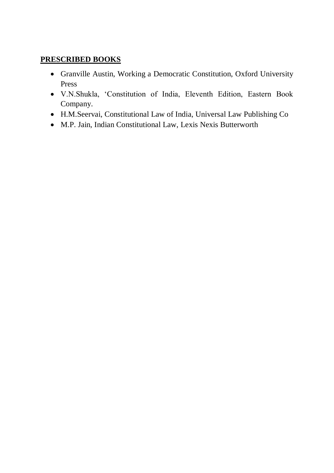- Granville Austin, Working a Democratic Constitution, Oxford University Press
- V.N.Shukla, 'Constitution of India, Eleventh Edition, Eastern Book Company.
- H.M.Seervai, Constitutional Law of India, Universal Law Publishing Co
- M.P. Jain, Indian Constitutional Law, Lexis Nexis Butterworth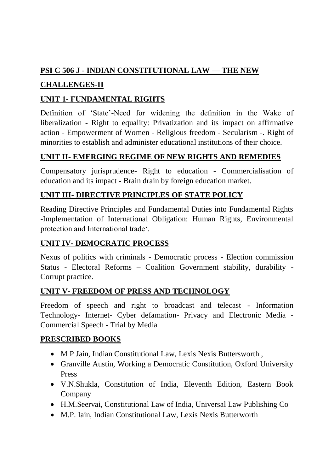# **PSI C 506 J - INDIAN CONSTITUTIONAL LAW — THE NEW**

# **CHALLENGES-II**

# **UNIT 1- FUNDAMENTAL RIGHTS**

Definition of 'State'-Need for widening the definition in the Wake of liberalization - Right to equality: Privatization and its impact on affirmative action - Empowerment of Women - Religious freedom - Secularism -. Right of minorities to establish and administer educational institutions of their choice.

# **UNIT II- EMERGING REGIME OF NEW RIGHTS AND REMEDIES**

Compensatory jurisprudence- Right to education - Commercialisation of education and its impact - Brain drain by foreign education market.

# **UNIT III- DIRECTIVE PRINCIPLES OF STATE POLICY**

Reading Directive Principles and Fundamental Duties into Fundamental Rights -Implementation of International Obligation: Human Rights, Environmental protection and International trade'.

# **UNIT IV- DEMOCRATIC PROCESS**

Nexus of politics with criminals - Democratic process - Election commission Status - Electoral Reforms – Coalition Government stability, durability - Corrupt practice.

# **UNIT V- FREEDOM OF PRESS AND TECHNOLOGY**

Freedom of speech and right to broadcast and telecast - Information Technology- Internet- Cyber defamation- Privacy and Electronic Media - Commercial Speech - Trial by Media

- M P Jain, Indian Constitutional Law, Lexis Nexis Buttersworth ,
- Granville Austin, Working a Democratic Constitution, Oxford University Press
- V.N.Shukla, Constitution of India, Eleventh Edition, Eastern Book Company
- H.M.Seervai, Constitutional Law of India, Universal Law Publishing Co
- M.P. Iain, Indian Constitutional Law, Lexis Nexis Butterworth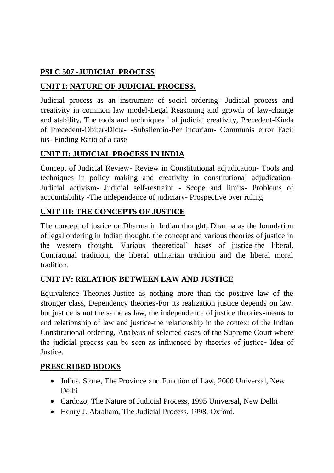# **PSI C 507 -JUDICIAL PROCESS**

# **UNIT I: NATURE OF JUDICIAL PROCESS.**

Judicial process as an instrument of social ordering- Judicial process and creativity in common law model-Legal Reasoning and growth of law-change and stability, The tools and techniques ' of judicial creativity, Precedent-Kinds of Precedent-Obiter-Dicta- -Subsilentio-Per incuriam- Communis error Facit ius- Finding Ratio of a case

# **UNIT II: JUDICIAL PROCESS IN INDIA**

Concept of Judicial Review- Review in Constitutional adjudication- Tools and techniques in policy making and creativity in constitutional adjudication-Judicial activism- Judicial self-restraint - Scope and limits- Problems of accountability -The independence of judiciary- Prospective over ruling

## **UNIT III: THE CONCEPTS OF JUSTICE**

The concept of justice or Dharma in Indian thought, Dharma as the foundation of legal ordering in Indian thought, the concept and various theories of justice in the western thought, Various theoretical' bases of justice-the liberal. Contractual tradition, the liberal utilitarian tradition and the liberal moral tradition.

## **UNIT IV: RELATION BETWEEN LAW AND JUSTICE**

Equivalence Theories-Justice as nothing more than the positive law of the stronger class, Dependency theories-For its realization justice depends on law, but justice is not the same as law, the independence of justice theories-means to end relationship of law and justice-the relationship in the context of the Indian Constitutional ordering, Analysis of selected cases of the Supreme Court where the judicial process can be seen as influenced by theories of justice- Idea of Justice.

- Julius. Stone, The Province and Function of Law, 2000 Universal, New Delhi
- Cardozo, The Nature of Judicial Process, 1995 Universal, New Delhi
- Henry J. Abraham, The Judicial Process, 1998, Oxford.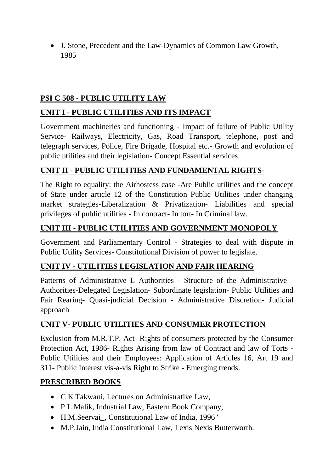J. Stone, Precedent and the Law-Dynamics of Common Law Growth, 1985

# **PSI C 508 - PUBLIC UTILITY LAW**

# **UNIT I - PUBLIC UTILITIES AND ITS IMPACT**

Government machineries and functioning - Impact of failure of Public Utility Service- Railways, Electricity, Gas, Road Transport, telephone, post and telegraph services, Police, Fire Brigade, Hospital etc.- Growth and evolution of public utilities and their legislation- Concept Essential services.

# **UNIT II - PUBLIC UTILITIES AND FUNDAMENTAL RIGHTS-**

The Right to equality: the Airhostess case -Are Public utilities and the concept of State under article 12 of the Constitution Public Utilities under changing market strategies-Liberalization & Privatization- Liabilities and special privileges of public utilities - In contract- In tort- In Criminal law.

# **UNIT III - PUBLIC UTILITIES AND GOVERNMENT MONOPOLY**

Government and Parliamentary Control - Strategies to deal with dispute in Public Utility Services- Constitutional Division of power to legislate.

## **UNIT IV - UTILITIES LEGISLATION AND FAIR HEARING**

Patterns of Administrative L Authorities - Structure of the Administrative - Authorities-Delegated Legislation- Subordinate legislation- Public Utilities and Fair Rearing- Quasi-judicial Decision - Administrative Discretion- Judicial approach

## **UNIT V- PUBLIC UTILITIES AND CONSUMER PROTECTION**

Exclusion from M.R.T.P. Act- Rights of consumers protected by the Consumer Protection Act, 1986- Rights Arising from law of Contract and law of Torts - Public Utilities and their Employees: Application of Articles 16, Art 19 and 311- Public Interest vis-a-vis Right to Strike - Emerging trends.

- C K Takwani, Lectures on Administrative Law,
- P L Malik, Industrial Law, Eastern Book Company,
- H.M.Seervai\_, Constitutional Law of India, 1996 '
- M.P.Jain, India Constitutional Law, Lexis Nexis Butterworth.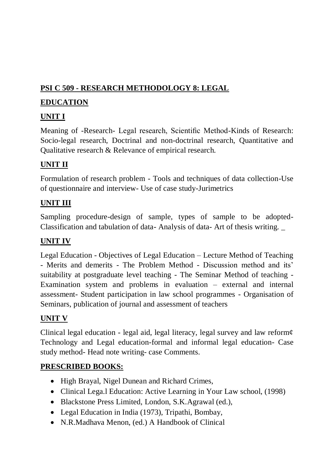# **PSI C 509 - RESEARCH METHODOLOGY 8: LEGAL**

# **EDUCATION**

# **UNIT I**

Meaning of -Research- Legal research, Scientific Method-Kinds of Research: Socio-legal research, Doctrinal and non-doctrinal research, Quantitative and Qualitative research & Relevance of empirical research.

# **UNIT II**

Formulation of research problem - Tools and techniques of data collection-Use of questionnaire and interview- Use of case study-Jurimetrics

# **UNIT III**

Sampling procedure-design of sample, types of sample to be adopted-Classification and tabulation of data- Analysis of data- Art of thesis writing. \_

# **UNIT IV**

Legal Education - Objectives of Legal Education – Lecture Method of Teaching - Merits and demerits - The Problem Method - Discussion method and its' suitability at postgraduate level teaching - The Seminar Method of teaching - Examination system and problems in evaluation – external and internal assessment- Student participation in law school programmes - Organisation of Seminars, publication of journal and assessment of teachers

# **UNIT V**

Clinical legal education - legal aid, legal literacy, legal survey and law reform¢ Technology and Legal education-formal and informal legal education- Case study method- Head note writing- case Comments.

- High Brayal, Nigel Dunean and Richard Crimes,
- Clinical Lega.l Education: Active Learning in Your Law school, (1998)
- Blackstone Press Limited, London, S.K.Agrawal (ed.),
- Legal Education in India (1973), Tripathi, Bombay,
- N.R.Madhava Menon, (ed.) A Handbook of Clinical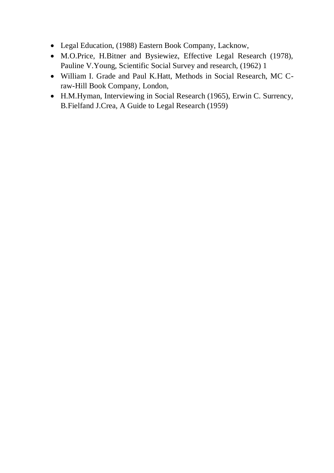- Legal Education, (1988) Eastern Book Company, Lacknow,
- M.O.Price, H.Bitner and Bysiewiez, Effective Legal Research (1978), Pauline V.Young, Scientific Social Survey and research, (1962) 1
- William I. Grade and Paul K.Hatt, Methods in Social Research, MC Craw-Hill Book Company, London,
- H.M.Hyman, Interviewing in Social Research (1965), Erwin C. Surrency, B.Fielfand J.Crea, A Guide to Legal Research (1959)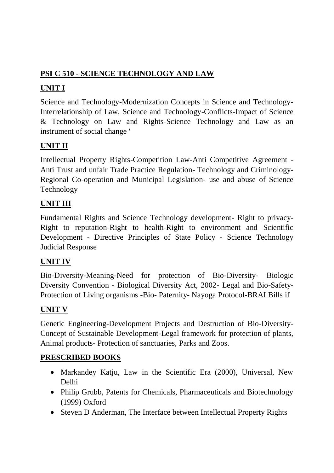# **PSI C 510 - SCIENCE TECHNOLOGY AND LAW**

# **UNIT I**

Science and Technology-Modernization Concepts in Science and Technology-Interrelationship of Law, Science and Technology-Conflicts-Impact of Science & Technology on Law and Rights-Science Technology and Law as an instrument of social change '

# **UNIT II**

Intellectual Property Rights-Competition Law-Anti Competitive Agreement - Anti Trust and unfair Trade Practice Regulation- Technology and Criminology-Regional Co-operation and Municipal Legislation- use and abuse of Science Technology

# **UNIT III**

Fundamental Rights and Science Technology development- Right to privacy-Right to reputation-Right to health-Right to environment and Scientific Development - Directive Principles of State Policy - Science Technology Judicial Response

# **UNIT IV**

Bio-Diversity-Meaning-Need for protection of Bio-Diversity- Biologic Diversity Convention - Biological Diversity Act, 2002- Legal and Bio-Safety-Protection of Living organisms -Bio- Paternity- Nayoga Protocol-BRAI Bills if

# **UNIT V**

Genetic Engineering-Development Projects and Destruction of Bio-Diversity-Concept of Sustainable Development-Legal framework for protection of plants, Animal products- Protection of sanctuaries, Parks and Zoos.

- Markandey Katju, Law in the Scientific Era (2000), Universal, New Delhi
- Philip Grubb, Patents for Chemicals, Pharmaceuticals and Biotechnology (1999) Oxford
- Steven D Anderman, The Interface between Intellectual Property Rights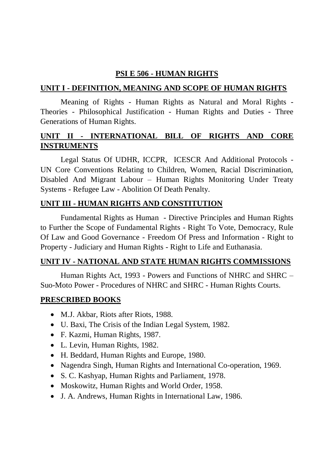### **PSI E 506 - HUMAN RIGHTS**

### **UNIT I - DEFINITION, MEANING AND SCOPE OF HUMAN RIGHTS**

Meaning of Rights - Human Rights as Natural and Moral Rights - Theories - Philosophical Justification - Human Rights and Duties - Three Generations of Human Rights.

# **UNIT II - INTERNATIONAL BILL OF RIGHTS AND CORE INSTRUMENTS**

Legal Status Of UDHR, ICCPR, ICESCR And Additional Protocols - UN Core Conventions Relating to Children, Women, Racial Discrimination, Disabled And Migrant Labour – Human Rights Monitoring Under Treaty Systems - Refugee Law - Abolition Of Death Penalty.

## **UNIT III - HUMAN RIGHTS AND CONSTITUTION**

Fundamental Rights as Human - Directive Principles and Human Rights to Further the Scope of Fundamental Rights - Right To Vote, Democracy, Rule Of Law and Good Governance - Freedom Of Press and Information - Right to Property - Judiciary and Human Rights - Right to Life and Euthanasia.

#### **UNIT IV - NATIONAL AND STATE HUMAN RIGHTS COMMISSIONS**

Human Rights Act, 1993 - Powers and Functions of NHRC and SHRC – Suo-Moto Power - Procedures of NHRC and SHRC - Human Rights Courts.

- M.J. Akbar, Riots after Riots, 1988.
- U. Baxi, The Crisis of the Indian Legal System, 1982.
- F. Kazmi, Human Rights, 1987.
- L. Levin, Human Rights, 1982.
- H. Beddard, Human Rights and Europe, 1980.
- Nagendra Singh, Human Rights and International Co-operation, 1969.
- S. C. Kashyap, Human Rights and Parliament, 1978.
- Moskowitz, Human Rights and World Order, 1958.
- J. A. Andrews, Human Rights in International Law, 1986.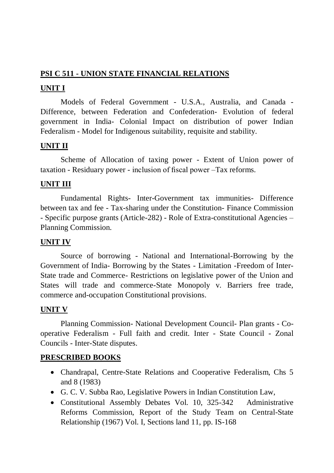## **PSI C 511 - UNION STATE FINANCIAL RELATIONS**

# **UNIT I**

Models of Federal Government - U.S.A., Australia, and Canada - Difference, between Federation and Confederation- Evolution of federal government in India- Colonial Impact on distribution of power Indian Federalism - Model for Indigenous suitability, requisite and stability.

# **UNIT II**

Scheme of Allocation of taxing power - Extent of Union power of taxation - Residuary power - inclusion of fiscal power –Tax reforms.

## **UNIT III**

Fundamental Rights- Inter-Government tax immunities- Difference between tax and fee - Tax-sharing under the Constitution- Finance Commission - Specific purpose grants (Article-282) - Role of Extra-constitutional Agencies – Planning Commission.

## **UNIT IV**

Source of borrowing - National and International-Borrowing by the Government of India- Borrowing by the States - Limitation -Freedom of Inter-State trade and Commerce- Restrictions on legislative power of the Union and States will trade and commerce-State Monopoly v. Barriers free trade, commerce and-occupation Constitutional provisions.

## **UNIT V**

Planning Commission- National Development Council- Plan grants - Cooperative Federalism - Full faith and credit. Inter - State Council - Zonal Councils - Inter-State disputes.

- Chandrapal, Centre-State Relations and Cooperative Federalism, Chs 5 and 8 (1983)
- G. C. V. Subba Rao, Legislative Powers in Indian Constitution Law,
- Constitutional Assembly Debates Vol. 10, 325-342 Administrative Reforms Commission, Report of the Study Team on Central-State Relationship (1967) Vol. I, Sections land 11, pp. IS-168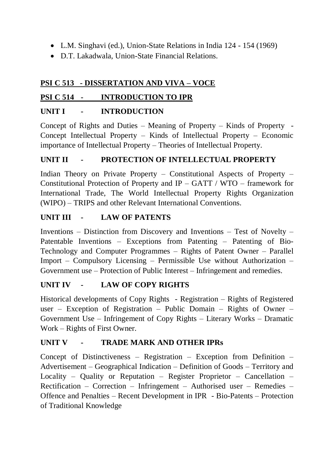- L.M. Singhavi (ed.), Union-State Relations in India 124 154 (1969)
- D.T. Lakadwala, Union-State Financial Relations.

# **PSI C 513 - DISSERTATION AND VIVA – VOCE**

# **PSI C 514 - INTRODUCTION TO IPR**

# **UNIT I - INTRODUCTION**

Concept of Rights and Duties – Meaning of Property – Kinds of Property - Concept Intellectual Property – Kinds of Intellectual Property – Economic importance of Intellectual Property – Theories of Intellectual Property.

# **UNIT II - PROTECTION OF INTELLECTUAL PROPERTY**

Indian Theory on Private Property – Constitutional Aspects of Property – Constitutional Protection of Property and IP – GATT / WTO – framework for International Trade, The World Intellectual Property Rights Organization (WIPO) – TRIPS and other Relevant International Conventions.

# **UNIT III - LAW OF PATENTS**

Inventions – Distinction from Discovery and Inventions – Test of Novelty – Patentable Inventions – Exceptions from Patenting – Patenting of Bio-Technology and Computer Programmes – Rights of Patent Owner – Parallel Import – Compulsory Licensing – Permissible Use without Authorization – Government use – Protection of Public Interest – Infringement and remedies.

## **UNIT IV - LAW OF COPY RIGHTS**

Historical developments of Copy Rights - Registration – Rights of Registered user – Exception of Registration – Public Domain – Rights of Owner – Government Use – Infringement of Copy Rights – Literary Works – Dramatic Work – Rights of First Owner.

# **UNIT V - TRADE MARK AND OTHER IPRs**

Concept of Distinctiveness – Registration – Exception from Definition – Advertisement – Geographical Indication – Definition of Goods – Territory and Locality – Quality or Reputation – Register Proprietor – Cancellation – Rectification – Correction – Infringement – Authorised user – Remedies – Offence and Penalties – Recent Development in IPR - Bio-Patents – Protection of Traditional Knowledge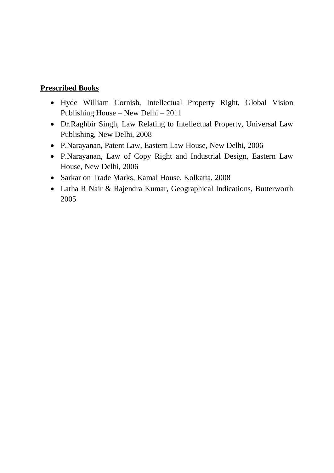# **Prescribed Books**

- Hyde William Cornish, Intellectual Property Right, Global Vision Publishing House – New Delhi – 2011
- Dr.Raghbir Singh, Law Relating to Intellectual Property, Universal Law Publishing, New Delhi, 2008
- P.Narayanan, Patent Law, Eastern Law House, New Delhi, 2006
- P.Narayanan, Law of Copy Right and Industrial Design, Eastern Law House, New Delhi, 2006
- Sarkar on Trade Marks, Kamal House, Kolkatta, 2008
- Latha R Nair & Rajendra Kumar, Geographical Indications, Butterworth 2005